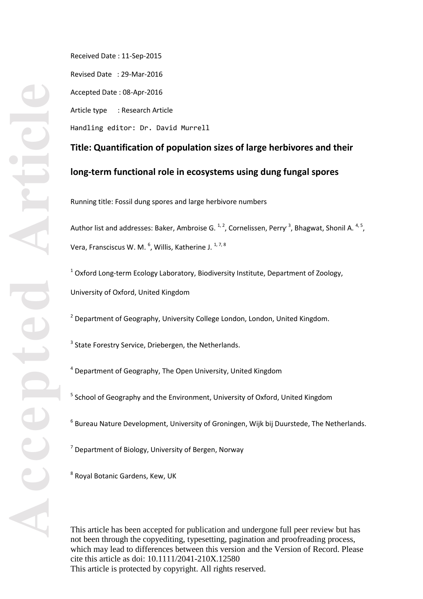Received Date : 11 -Sep -2015 Revised Date : 29 -Mar -2016 Accepted Date : 08 -Apr -2016 Article type : Research Article Handling editor: Dr. David Murrell

**Title: Quantification of population sizes of large herbivores and their long -term functional role in ecosystems using dung fungal spores**

Running title: Fossil dung spores and large herbivore numbers

Author list and addresses: Baker, Ambroise G. <sup>1, 2</sup>, Cornelissen, Perry<sup>, 3</sup>, Bhagwat, Shonil A. <sup>4, 5</sup>, Vera, Fransciscus W. M.  $<sup>6</sup>$ , Willis, Katherine J.  $<sup>1,7,8</sup>$ </sup></sup>

 $^1$  Oxford Long-term Ecology Laboratory, Biodiversity Institute, Department of Zoology, University of Oxford, United Kingdom

 $2$  Department of Geography, University College London, London, United Kingdom.

<sup>3</sup> State Forestry Service, Driebergen, the Netherlands.

 $4$  Department of Geography, The Open University, United Kingdom

<sup>5</sup> School of Geography and the Environment, University of Oxford, United Kingdom

<sup>6</sup> Bureau Nature Development, University of Groningen, Wijk bij Duurstede, The Netherlands.

 $<sup>7</sup>$  Department of Biology, University of Bergen, Norway</sup>

<sup>8</sup> Royal Botanic Gardens, Kew, UK

This article has been accepted for publication and undergone full peer review but has not been through the copyediting, typesetting, pagination and proofreading process, which may lead to differences between this version and the Version of Record. Please cite this article as doi:  $10.1111/2041-210X.12580$ This article is protected by copyright. All rights reserved.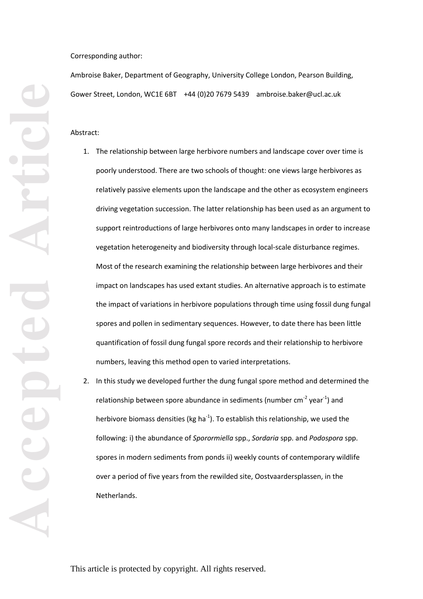Corresponding author:

Ambroise Baker, Department of Geography, University College London, Pearson Building, Gower Street, London, WC1E 6BT +44 (0)20 7679 5439 ambroise.baker@ucl.ac.uk

Abstract :

- 1. The relationship between large herbivore numbers and landscape cover over time is poorly understood. There are two schools of thought: one views large herbivores as relatively passive elements upon the landscape and the other as ecosystem engineers driving vegetation succession. The latter relationship has been used as an argument to support reintroductions of large herbivores onto many landscapes in order to increase vegetation heterogeneity and biodiversity through local -scale disturbance regimes . Most of the research examining the relationship between large herbivores and their impact on landscapes has used extant studies. An alternative approach is to estimate the impact of variations in herbivore populations through time using fossil dung fungal spore s and pollen in sedimentary sequences. However, to date there has been little quantification of fossil dung fungal spore records and their relationship to herbivore numbers, leaving this method open to varied interpretations.
- 2. In this study we developed further the dung fungal spore method and determine d the relationship between spore abundance in sediments (number cm<sup>-2</sup> year<sup>-1</sup>) and herbivore biomass densities (kg ha<sup>-1</sup>). To establish this relationship, we used the following: i) the abundance of *Sporormiella* spp., *Sordaria* spp. and *Podospora* spp. spores in modern sediment s from ponds ii ) weekly counts of contemporary wildlife over a period of five years from the rewilded site, Oostvaardersplassen, in the Netherlands.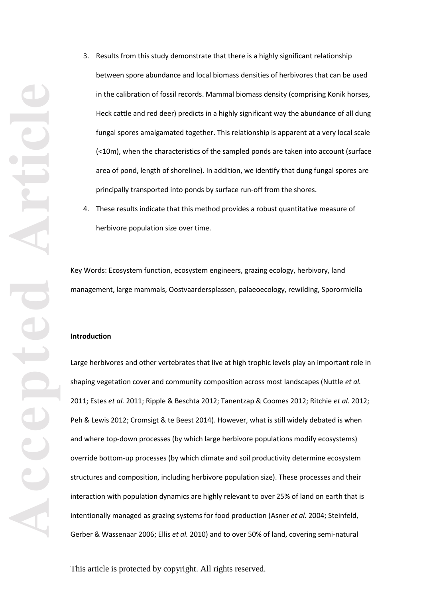3. Results from this study demonstrate that there is a highly significant relationship between spore abundance and local biomass densities of herbivores that can be used in the calibration of fossil records. Mammal biomass density (comprising Konik horses, Heck cattle and red deer) predicts in a highly significant way the abundance of all dung fungal spores amalgamated together . This relationship is apparent at a very local scale (<10m), when the characteristics of the sampled ponds are taken into account (surface area of pond, length of shoreline). In addition, we identif y that dung fungal spores are principally transported into ponds by surface run -off from the shores.

4. These results indicate that this method provides a robust quantitative measure of herbivore population size over time.

Key Words : Ecosystem function, ecosystem engineers, grazing ecology, herbivory, land management, large mammals, Oostvaardersplassen, pal aeoecology, rewilding, Sporormiella

### **Introduction**

Large herbivores and other vertebrates that live at high trophic levels play an important role in shaping vegetation cover and community composition across most landscapes (Nuttle *et al.* 2011; Estes *et al.* 2011; Ripple & Beschta 2012; Tanentzap & Coomes 2012; Ritchie *et al .* 2012; Peh & Lewis 2012; Cromsigt & te Beest 2014). However, what is still widely debated is when and where top -down processes (by which large herbivore populations modify ecosystems) override bottom -up processes (by which climate and soil productivity determine ecosystem structures and composition, including herbivore population size). These processes and their interaction with population dynamics are highly relevant to over 25% of land on earth that is intentionally managed as grazing systems for food production (Asner *et al.* 2004; Steinfeld, Gerber & Wassenaar 2006; Ellis *et al.* 2010) and to over 50% of land, covering semi -natural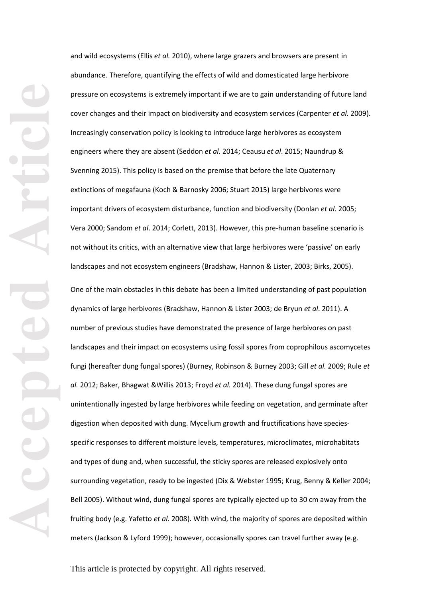and wild ecosystems (Ellis *et al.* 2010), where large grazers and browsers are present in abundance. Therefore, quantifying the effects of wild and domesticated large herbivore pressure on ecosystems is extremely important if we are to gain understanding of future land cover changes and their impact on biodiversity and ecosystem services (Carpenter *et al.* 2009). Increasingly conservation policy is looking to introduce large herbivores as ecosystem engineers where they are absent (Seddon *et al*. 2014; Ceausu *et al* . 2015; Naundrup & Svenning 2015). This policy is based on the premise that before the late Quaternary extinctions of megafauna (Koch & Barnosky 2006; Stuart 2015) large herbivores were important driver s of ecosystem disturbance, function and biodiversity (Donlan *et al.* 2005; Vera 2000; Sandom et al. 2014; Corlett, 2013). However, this pre-human baseline scenario is not without its critics, with an alternative view that large herbivores were 'passive' on early landscapes and not ecosystem engineers (Bradshaw, Hannon & Lister, 2003; Birks, 2005). One of the main obstacles in this debate has been a limited understanding of past population dynamics of large herbivores (Bradshaw, Hannon & Lister 2003; de Bryun *et al*. 2011 ). A number of previous studies have demonstrated the presence of large herbivores on past landscapes and their impact on ecosystems using fossil spores from coprophilous ascomycetes fungi (hereafter dung fungal spores) (Burney, Robinson & Burney 2003; Gill *et al.* 2009; Rule *et al.* 2012; Baker, Bhagwat &Willis 2013; Froyd *et al .* 2014). These dung fungal spores are

unintentionally ingested by large herbivores while feeding on vegetation , and germinate after digestion when deposited with dung. Mycelium growth and fructifications have species specific responses to different moisture levels, temperatures, microclimates , microhabitats and type s of dung and, when successful, the sticky spores are released explosively onto surrounding vegetation, ready to be ingested (Dix & Webster 1995; Krug, Benny & Keller 2004; Bell 2005). Without wind, dung fungal spores are typically ejected up to 30 cm away from the fruiting body (e.g. Yafetto *et al.* 2008). With wind, the majority of spores are deposited within meters (Jackson & Lyford 1999); however, occasionally spores can travel further away (e.g.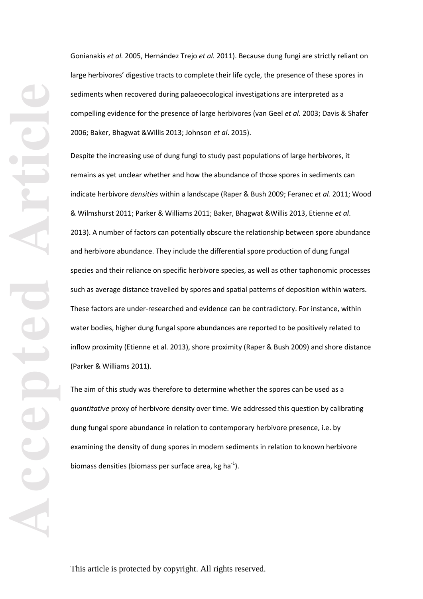Gonianakis *et al.* 2005, Hernández Trejo *et al.* 2011). Because dung fungi are strictly reliant on large herbivores ' digestive tracts to complete their life cycle, the presence of these spores in sediments when recovered during palaeoecological investigations are interpreted as a compelling evidence for the presence of large herbivores (van Geel *et al.* 2003; Davis & Shafer 2006; Baker, Bhagwat &Willis 2013; Johnson *et al*. 2015).

Despite the increasing use of dung fungi to study past populations of large herbivores, it remains as yet unclear whether and how the abundance of those spores in sediments can indicate herbivore *densities* within a landscape (Raper & Bush 2009; Feranec *et al.* 2011; Wood & Wilmshurst 2011; Parker & Williams 2011; Baker, Bhagwat &Willis 2013, Etienne *et al*. 2013 ). A number of factors can potentially obscure the relationship between spore abundance and herbivore abundance. They include the differential spore production of dung fungal species and their reliance on specific herbivore species, as well as other taphonomic processes such as average distance travelled by spores and spatial patterns of deposition within waters. These factors are under-researched and evidence can be contradictory. For instance, within water bodies, higher dung fungal spore abundances are reported to be positively related to inflow proximity (Etienne et al. 2013), shore proximity (Raper & Bush 2009) and shore distance (Parker & Williams 2011) .

The aim of this study was therefore to determine whether the spores can be used as a *quantitative* proxy of herbivore density over time. We addressed this question by calibrating dung fungal spore abundance in relation to contemporary herbivore presence, i.e. by examining the density of dung spore s in modern sediments in relation to known herbivore biomass densities (biomass per surface area, kg ha<sup>-1</sup>).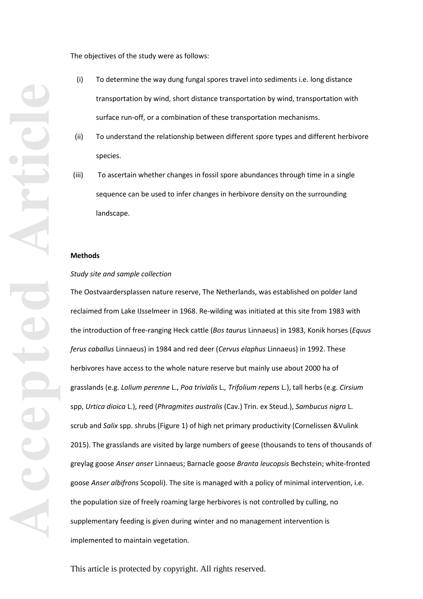The objectives of the study were as follows:

- (i) To determine the way dung fungal spores travel into sediments i.e. long distance transportation by wind, short distance transportation by wind, transportation with surface run -off, or a combination of these transportation mechanisms.
- (ii) To understand the relationship between different spore types and different herbivore species.
- (iii) To ascertain whether changes in fossil spore abundances through time in a single sequence can be used to infer changes in herbivore density on the surrounding landscape.

#### **Methods**

#### *Study site and sample collection*

The Oostvaardersplassen nature reserve, The Netherlands, was established on polder land reclaimed from Lake IJsselmeer in 1968. Re -wilding was initiated at this site from 1983 with the introduction of free -ranging Heck cattle (*Bos taurus* Linnaeus) in 1983, Konik horses (*Equus ferus caballus* Linnaeus) in 1984 and red deer (*Cervus elaphus* Linnaeus) in 1992. These herbivores have access to the whole nature reserve but mainly use about 2000 ha of grasslands (e.g. *Lolium perenne* L. , *Poa trivialis* L.*, Trifolium repens* L *.*), tall herbs (e.g. *Cirsium* spp, *Urtica dioica* L.), reed (*Phragmites australis* (Cav.) Trin. ex Steud *.*), *Sambucus nigra* L. scrub and *Salix* spp. shrubs (Figure 1) of high net primary productivity (Cornelissen &Vulink 2015). The grasslands are visited by large numbers of geese (thousands to tens of thousands of greylag goose *Anser anser* Linnaeus; Barnacle goose *Branta leucopsis* [Bechstein;](https://en.wikipedia.org/wiki/Johann_Matth%C3%A4us_Bechstein) white -fronted goose *Anser albifrons* Scopoli). The site is managed with a policy of minimal intervention, i.e. the population size of freely roaming large herbivore s is not controlled by culling, no supplementary feeding is given during winter and no management intervention is implemented to maintain vegetation.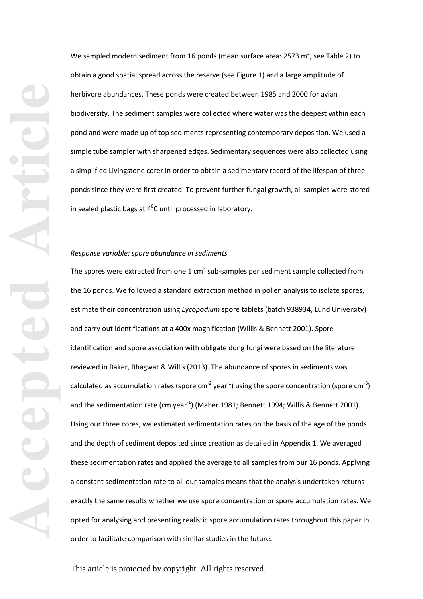We sampled modern sediment from 16 ponds (mean surface area: 2573 m<sup>2</sup>, see Table 2) to obtain a good spatial spread across the reserve (see Figure 1) and a large amplitude of herbivore abundance s. These ponds were created between 1985 and 2000 for avian biodiversity . The sediment samples were collected where water was the deepest within each pond and were made up of top sediments representing contemporary deposition. We used a simple tube sampler with sharpened edges. Sedimentary sequences were also collected using a simplified Livingstone corer in order to obtain a sedimentary record of the lifespan of three ponds since they were first created. To prevent further fungal growth, all samples were stored in sealed plastic bags at  $4^0C$  until processed in laboratory.

# *Response variable: spore abundance in sediments*

The spores were extracted from one 1 cm<sup>3</sup> sub-samples per sediment sample collected from the 16 ponds. We followed a standard extraction method in pollen analysis to isolate spores, estimate their concentration using *Lycopodium* spore tablets (batch 938934, Lund University) and carry out identifications at a 400x magnification (Willis & Bennett 2001). Spore identification and spore association with obligate dung fung i were based on the literature reviewed in Baker, Bhagwat & Willis (2013). The abundance of spores in sediments was calculated as accumulation rates (spore cm<sup>-2</sup> year<sup>-1</sup>) using the spore concentration (spore cm<sup>-3</sup>) and the sedimentation rate (cm year<sup>-1</sup>) (Maher 1981; Bennett 1994; Willis & Bennett 2001). Using our three cores, we estimated sedimentation rates on the basis of the age of the ponds and the depth of sediment deposited since creation as detailed in Appendix 1. We averaged these sedimentation rates and applied the average to all samples from our 16 ponds. Applying a constant sedimentation rate to all our samples means that the analysis undertaken returns exactly the same results whether we use spore concentration or spore accumulation rates. We opted for analysing and presenting realistic spore accumulation rates throughout this paper in order to facilitate comparison with similar studies in the future.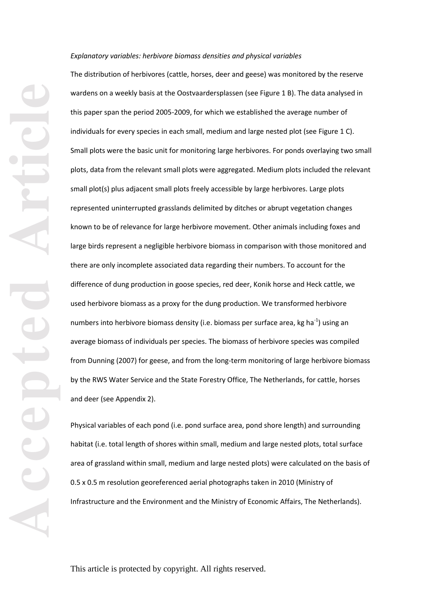#### *Explanatory variables: herbivore biomass densities and physical variables*

The distribution of herbivores (cattle, horses, deer and geese) was monitored by the reserve wardens on a weekly basis at the Oostvaardersplassen (see Figure 1 B). The data analysed in this paper span the period 2005 -2009, for which we established the average number of individuals for every species in each small, medium and large nested plot (see Figure 1 C). Small plots were the basic unit for monitoring large herbivores. For ponds overlaying two small plots, data from the relevant small plots were aggregated. Medium plots included the relevant small plot(s) plus adjacent small plots freely accessible by large herbivores. Large plots represented uninterrupted grasslands delimited by ditches or abrupt vegetation changes known to be of relevance for large herbivore movement. Other animals including foxes and large birds represent a negligible herbivore biomass in comparison with those monitored and there are only incomplete associated data regarding their numbers. To account for the difference of dung production in goose species, red deer, Konik horse and Heck cattle, we used herbivore biomass as a proxy for the dung production. We transformed herbivore numbers into herbivore biomass density (i.e. biomass per surface area, kg ha<sup>-1</sup>) using an average biomass of individuals per species. The biomass of herbivore species was compiled from Dunning (2007) for geese, and from the long -term monitoring of large herbivore biomass by the RWS Water Service and the State Forestry Office, The Netherlands, for cattle, horses and deer (see Appendix 2).

Physical variables of each pond (i.e. pond surface area, pond shore length) and surrounding habitat (i.e. total length of shores within small, medium and large nested plots, total surface area of grassland within small, medium and large nested plots) were calculated on the basis of 0.5 x 0.5 m resolution georeferenced aerial photographs taken in 2010 (Ministry of Infrastructure and the Environment and the Ministry of Economic Affairs, The Netherlands).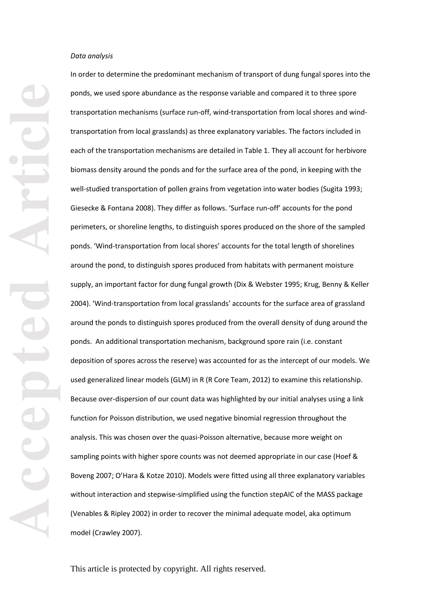**Accepted Article**

In order to determine the predominant mechanism of transport of dung fungal spores into the ponds, we used spore abundance as the response variable and compared it to three spore transportation mechanisms (surface run-off, wind-transportation from local shores and windtransportation from local grasslands) as three explanatory variables. The factors included in each of the transportation mechanisms are detailed in Table 1. They all account for herbivore biomass density around the ponds and for the surface area of the pond , in keeping with the well -studied transportation of pollen grains from vegetation into water bodies (Sugita 1993; Giesecke & Fontana 2008). They differ as follows. 'Surface run-off' accounts for the pond perimeters, or shoreline lengths, to distinguish spores produced on the shore of the sampled ponds. 'Wind -transportation from local shores' accounts for the total length of shorelines around the pond, to distinguish spores produced from habitats with permanent moisture supply, an important factor for dung fungal growth (Dix & Webster 1995; Krug, Benny & Keller 2004 ). ' Wind -transportation from local grasslands' accounts for the surface area of grassland around the pond s to distinguish spores produced from the overall density of dung around the pond s . An additional transportation mechanism, background spore rain (i.e. constant deposition of spores across the reserve) was accounted for as the intercept of our models. We used generalized linear models (GLM) in R (R Core Team, 2012) to examine this relationship. Because over -dispersion of our count data was highlighted by our initial analyses using a link function for Poisson distribution, we used negative binomial regression throughout the analysis. This was chosen over the quasi-Poisson alternative, because more weight on sampling points with higher spore counts was not deemed appropriate in our case (Hoef & Boveng 2007; O'Hara & Kotze 2010). Models were fitted using all three explanatory variables without interaction and stepwise-simplified using the function stepAIC of the MASS package (Venables & Ripley 2002) in order to recover the minimal adequate model, aka optimum model (Crawley 2007).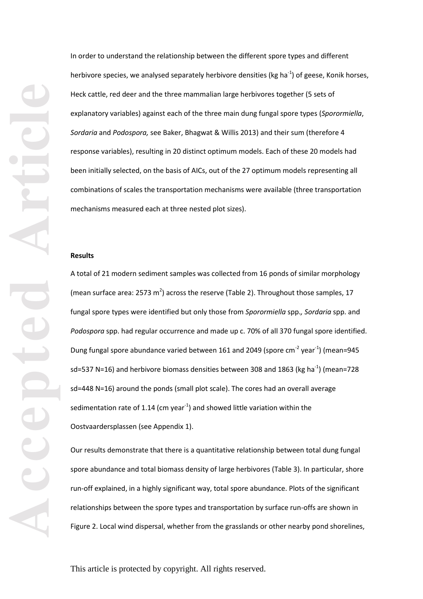In order to understand the relationship between the different spore types and different herbivore species, we analysed separately herbivore densities (kg ha<sup>-1</sup>) of geese, Konik horses, Heck cattle, red deer and the three mammalian large herbivores together (5 sets of explanatory variables) against each of the three main dung fungal spore types (*Sporormiella*, *Sordaria* and *Podospora,* see Baker, Bhagwat & Willis 2013) and their sum (therefore 4 response variables), resulting in 20 distinct optimum models. Each of these 20 models had been initially selected, on the basis of AICs, out of the 27 optimum models representing all combinations of scales the transportation mechanisms were available (three transportation mechanisms measured each at three nested plot sizes).

#### **Results**

A total of 21 modern sediment samples was collected from 16 ponds of similar morphology (mean surface area: 2573 m<sup>2</sup>) across the reserve (Table 2). Throughout those samples, 17 fungal spore types were identified but only those from *Sporormiella* spp.*, Sordaria* spp. and *Podospora* spp. had regular occurrence and made up c. 70% of all 370 fungal spore identified. Dung fungal spore abundance varied between 161 and 2049 (spore cm<sup>-2</sup> year<sup>-1</sup>) (mean=945 sd=537 N=16) and herbivore biomass densities between 308 and 1863 (kg ha<sup>-1</sup>) (mean=728 sd=448 N=16) around the ponds (small plot scale). The cores had an overall average sedimentation rate of 1.14 (cm year $^{-1}$ ) and showed little variation within the Oostvaardersplassen (see Appendix 1).

Our results demonstrate that there is a quantitative relationship between total dung fungal spore abundance and total biomass density of large herbivores (Table 3). In particular, shore run -off explained, in a highly significant way, total spore abundance. Plots of the significant relationships between the spore types and transportation by surface run -offs are shown in Figure 2. Local wind dispersal, whether from the grasslands or other nearby pond shorelines,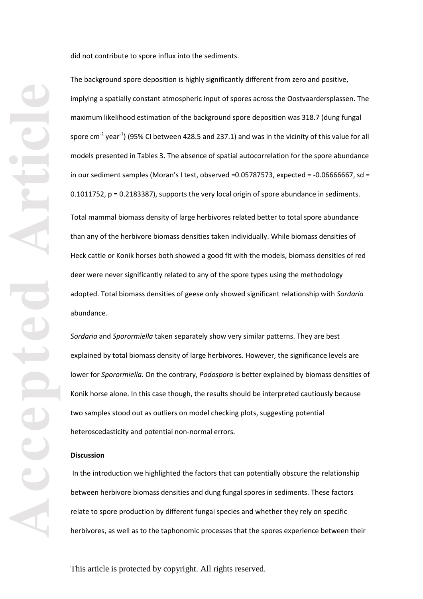The background spore deposition is highly significantly different from zero and positive,

implying a spatially constant atmospheric input of spores across the Oostvaardersplassen. The maximum likelihood estimation of the background spore deposition was 318.7 (dung fungal spore cm<sup>-2</sup> year<sup>-1</sup>) (95% CI between 428.5 and 237.1) and was in the vicinity of this value for all models presented in Tables 3. The absence of spatial autocorrelation for the spore abundance in our sediment samples (Moran's I test, observed =0.05787573, expected = - 0.06666667, sd = 0.1011752, p = 0.2183387), supports the very local origin of spore abundance in sediments. Total mammal biomass density of large herbivores related better to total spore abundance than any of the herbivore biomass densities taken individually. While biomass densities of Heck cattle or Konik horses both showed a good fit with the models, biomass densities of red deer were never significantly related to any of the spore types using the methodology adopted. Total biomass densities of geese only showed significant relationship with *Sordaria* abundance.

did not contribut e to spore influx into the sediments.

*Sordaria* and *Sporormiella* taken separately show very similar patterns. They are best explained by total biomass density of large herbivores . However , the significance levels are lower for *Sporormiella*. On the contrary, *Podospora* is better explained by biomass densities of Konik horse alone. In this case though, the results should be interpreted cautiously because two samples stood out as outliers on model checking plots, suggesting potential heteroscedasticity and potential non -normal errors.

### **Discussion**

In the introduction we highlighted the factors that can potentially obscure the relationship between herbivore biomass densities and dung fungal spores in sediments . These factors relate to spore production by different fungal species and whether they rely on specific herbivores, as well as to the taphonomic processes that the spores experience between their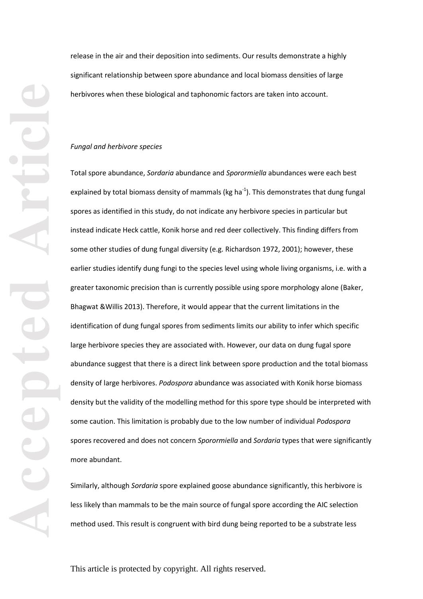release in the air and their deposition into sediments. Our results demonstrate a highly significant relationship between spore abundance and local biomass densities of large herbivores when these biological and taphonomic factors are taken into account .

### *Fungal and herbivore species*

Total spore abundance, *Sordaria* abundance and *Sporormiella* abundances were each best explained by total biomass density of mammals (kg ha<sup>-1</sup>). This demonstrates that dung fungal spores as identified in this study, do not indicate any herbivore species in particular but instead indicate Heck cattle, Konik horse and red deer collectively. This finding differs from some other studies of dung fungal diversity (e.g. Richardson 1972, 2001); however, these earlier studies identify dung fungi to the species level using whole living organisms, i.e. with a greater taxonomic precision than is currently possible using spore morphology alone (Baker, Bhagwat &Willis 2013). Therefore, it would appear that the current limitations in the identification of dung fungal spores from sediments limits our ability to infer which specific large herbivore species they are associated with. However, our data on dung fugal spore abundance suggest that there is a direct link between spore production and the total biomass density of large herbivores. *Podospora* abundance was associated with Konik horse biomass density but the validity of the modelling method for this spore type should be interpreted with some caution. This limitation is probably due to the low number of individual *Podospora* spores recovered and does not concern *Sporormiella* and *Sordaria* types that were significantly more abundant.

Similarly, although *Sordaria* spore explained goose abundance significantly, this herbivore is less likely than mammals to be the main source of fungal spore according the AIC selection method used. This result is congruent with bird dung being reported to be a substrate less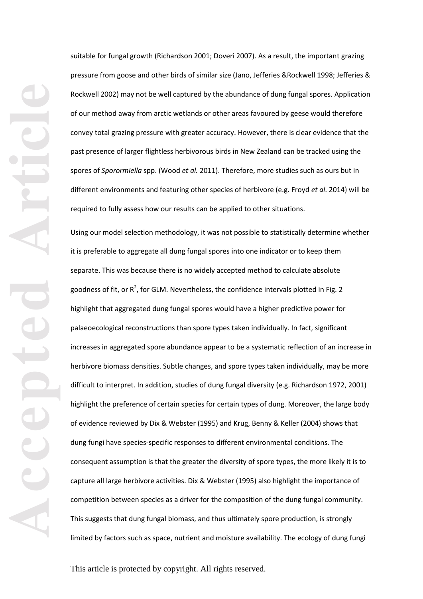suitable for fungal growth (Richardson 2001; Doveri 2007). As a result, the important grazing pressure from goose and other birds of similar size (Jano, Jefferies &Rockwell 1998; Jefferies & Rockwell 2002) may not be well captured by the abundance of dung fungal spores. Application of our method away from arctic wetlands or other areas favoured by geese would therefore convey total grazing pressure with greater accuracy. However, there is clear evidence that the past presence of larger flightless herbivorous birds in New Zealand can be tracked using the spores of *Sporormiella* spp. (Wood *et al.* 2011). Therefore, more studies such as ours but in different environment s and featuring other species of herbivore (e.g. Froyd *et al*. 2014) will be required to fully assess how our results can be applied to other situations.

Using our model selection methodology, it was not possible to statistically determine whether it is preferable to aggregate all dung fungal spores into one indicator or to keep them separate . This was because there is no widely accepted method to calculate absolute goodness of fit, or  $R^2$ , for GLM. Nevertheless, the confidence intervals plotted in Fig. 2 highlight that aggregated dung fungal spores would have a higher predictive power for palaeoecological reconstructions than spore types taken individually. In fact, significant increases in aggregated spore abundance appear to be a systematic reflection of an increase in herbivore biomass densities. Subtle changes , and spore types taken individually, may be more difficult to interpret. In addition, studies of dung fungal diversity (e.g. Richardson 1972, 2001) highlight the preference of certain species for certain types of dung. Moreover, the large body of evidence reviewed by Dix & Webster (1995) and Krug, Benny & Keller (2004) shows that dung fungi have species-specific responses to different environmental conditions. The consequent assumption is that the greater the diversity of spore type s, the more likely it is to capture all large herbivore activities. Dix & Webster (1995) also highlight the importance of competition between species as a driver for the composition of the dung fungal community. This suggests that dung fungal biomass, and thus ultimately spore production, is strongly limited by factors such as space, nutrient and moisture availability. The ecology of dung fungi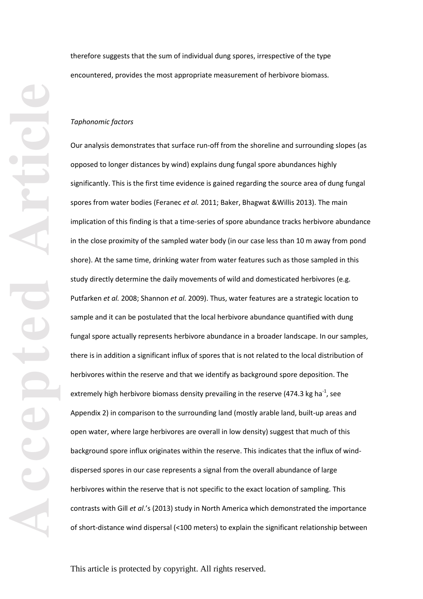therefore suggests that the sum of individual dung spores, irrespective of the type encountered, provides the most appropriate measurement of herbivore biomass.

### *Taphonomic factors*

Our analysis demonstrates that surface run-off from the shoreline and surrounding slopes (as opposed to longer distances by wind) explains dung fungal spore abundances highly significantly. This is the first time evidence is gained regarding the source area of dung fungal spores from water bodies (Feranec *et al.* 2011; Baker, Bhagwat &Willis 2013). The main implication of this finding is that a time -series of spore abundance tracks herbivore abundance in the close proximity of the sampled water body (in our case less than 10 m away from pond shore). At the same time, drinking water from water features such as those sampled in this study directly determine the daily movements of wild and domesticated herbivores (e.g. Putfarken *et al.* 2008; Shannon *et al.* 2009). Thus, water features are a strategic location to sample and it can be postulated that the local herbivore abundance quantified with dung fungal spore actually represents herbivore abundance in a broader landscape. In our samples, there is in addition a significant influx of spores that is not related to the local distribution of herbivores within the reserve and that we identify as background spore deposition . The extremely high herbivore biomass density prevailing in the reserve (474.3 kg ha<sup>-1</sup>, see Appendix 2) in comparison to the surrounding land (mostly arable land, built -up areas and open water, where large herbivores are overall in low density) suggest that much of this background spore influx originates within the reserve. This indicates that the influx of wind dispersed spores in our case represents a signal from the overall abundance of large herbivores within the reserve that is not specific to the exact location of sampling. This contrast s with Gill *et al*.'s (2013) study in North America which demonstrated the importance of short -distance wind dispersal (<100 meters) to explain the significant relationship between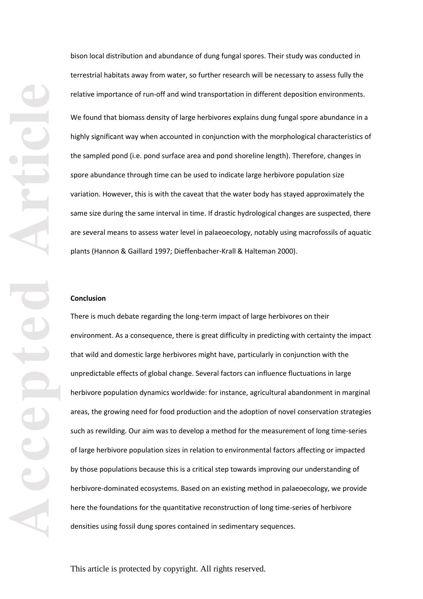bison local distribution and abundance of dung fungal spore s . T heir study was conducted in terrestrial habitats away from water, so further research will be necessary to assess fully the relative importance of run-off and wind transportation in different deposition environments. We found that biomass density of large herbivores explains dung fungal spore abundance in a highly significant way when accounted in conjunction with the morphological characteristics of the sampled pond (i.e. pond surface area and pond shoreline length). Therefore, changes in spore abundance through time can be used to indicate large herbivore population size variation. However, this is with the caveat that the water body has stayed approximately the same size during the same interval in time. If drastic hydrological changes are suspected, there are several means to assess water level in palaeoecology, notably using macrofossils of aquatic plants (Hannon & Gaillard 1997; Dieffenbacher -Krall & Halteman 2000).

### **Conclusion**

There is much debate regarding the long -term impact of large herbivores on their environment. As a consequence, there is great difficulty in predicting with certainty the impact that wild and domestic large herbivores might have, particularly in conjunction with the unpredictable effects of global change. Several factors can influence fluctuations in large herbivore population dynamics worldwide: for instance, agricultural abandonment in marginal areas, the growing need for food production and the adoption of novel conservation strategies such as rewilding. Our aim was to develop a method for the measurement of long time -series of large herbivore population sizes in relation to environmental factors affecting or impacted by those populations because this is a critical step towards improving our understanding of herbivore -dominated ecosystems. Based on an existing method in pal aeoecology, we provide here the foundations for the quantitative reconstruction of long time -series of herbivore densities using fossil dung spores contained in sedimentary sequences.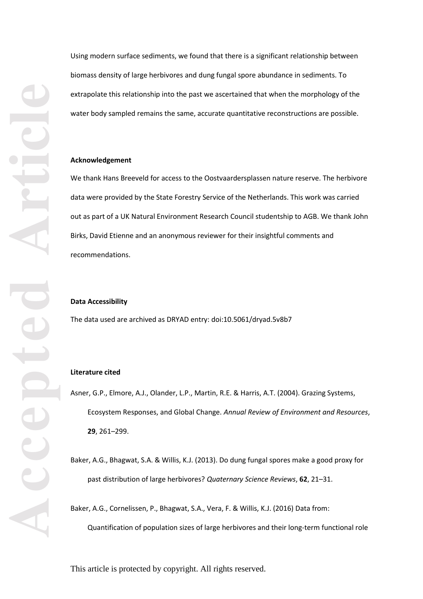Using modern surface sediments, we found that there is a significant relationship between biomass density of large herbivores and dung fungal spore abundance in sediments. To extrapolate this relationship into the past we ascertained that when the morphology of the water body sampled remains the same, accurate quantitative reconstructions are possible.

### **Acknowledgement**

We thank Hans Breeveld for access to the Oostvaardersplassen nature reserve. The herbivore data were provided by the State Forestry Service of the Netherlands. This work was carried out as part of a UK Natural Environment Research Council studentship to AGB. We thank John Birks, David Etienne and an anonymous reviewer for their insightful comments and recommendations.

#### **Data Accessibility**

The data used are archived as DRYAD entry: doi:10.5061/dryad.5v8b7

# **Literature cited**

Asner, G.P., Elmore, A.J., Olander, L.P., Martin, R.E. & Harris, A.T. (2004). Grazing Systems, Ecosystem Responses, and Global Change. *Annual Review of Environment and Resources*, **29**, 261 –299.

Baker, A.G., Bhagwat, S.A. & Willis, K.J. (2013). Do dung fungal spores make a good proxy for past distribution of large herbivores? *Quaternary Science Reviews*, **62**, 21 –31.

Baker, A.G., Cornelissen, P., Bhagwat, S.A., Vera, F. & Willis, K.J . (2016) Data from: Quantification of population sizes of large herbivores and their long -term functional role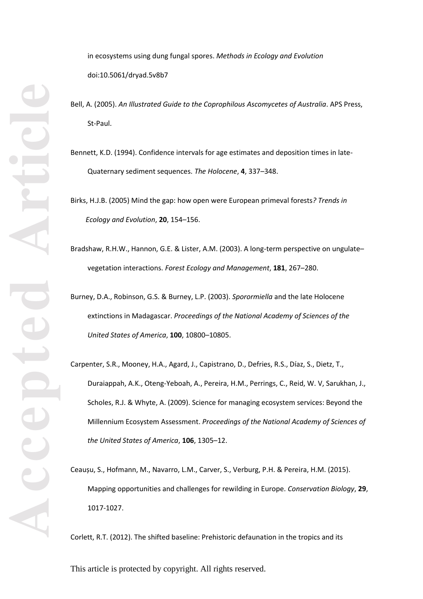in ecosystems using dung fungal spores. *Methods in Ecology and Evolution* doi:10.5061/dryad.5v8b7

- Bell, A. (2005). *An Illustrated Guide to the Coprophilous Ascomycetes of Australia*. APS Press, St -Paul.
- Bennett, K.D. (1994). Confidence intervals for age estimates and deposition times in late Quaternary sediment sequences. *The Holocene*, **4**, 337 –348.

Birks, H.J.B. (2005) Mind the gap: how open were European primeval forests*? Trends in Ecology and Evolution*, **20**, 154 –156.

Bradshaw, R.H.W., Hannon, G.E. & Lister, A.M. (2003). A long -term perspective on ungulate – vegetation interactions. *Forest Ecology and Management*, **181**, 267 –280.

Burney, D.A., Robinson, G.S. & Burney, L.P. (2003). *Sporormiella* and the late Holocene extinctions in Madagascar. *Proceedings of the National Academy of Sciences of the United States of America*, **100**, 10800 –10805.

Carpenter, S.R., Mooney, H.A., Agard, J., Capistrano, D., Defries, R.S., Díaz, S., Dietz, T., Duraiappah, A.K., Oteng-Yeboah, A., Pereira, H.M., Perrings, C., Reid, W. V, Sarukhan, J., Scholes, R.J. & Whyte, A. (2009). Science for managing ecosystem services: Beyond the Millennium Ecosystem Assessment. *Proceedings of the National Academy of Sciences of the United States of America*, **106**, 1305 –12.

Ceaușu, S., Hofmann, M., Navarro, L.M., Carver, S., Verburg, P.H. & Pereira, H.M. (2015). Mapping opportunities and challenges for rewilding in Europe. *Conservation Biology*, **29**, 1017 -1027.

Corlett, R.T. (2012). The shifted baseline: Prehistoric defaunation in the tropics and its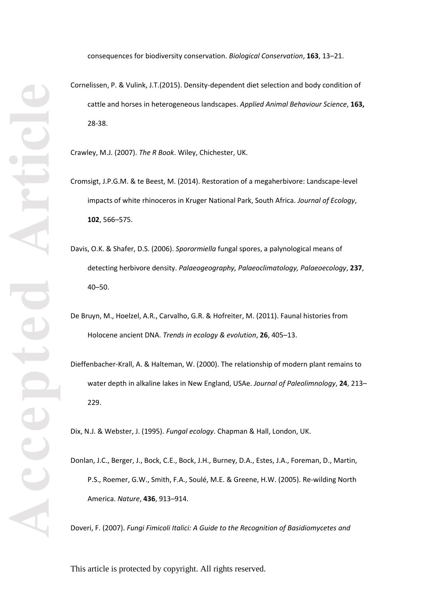consequences for biodiversity conservation. *Biological Conservation*, **163**, 13 –21.

Cornelissen, P. & Vulink, J.T.(2015). Density -dependent diet selection and body condition of cattle and horses in heterogeneous landscapes. *Applied Animal Behaviour Science*, **163,** 28 -38.

Crawley, M.J. (2007). *The R Book*. Wiley, Chichester, UK.

- Cromsigt, J.P.G.M. & te Beest, M. (2014). Restoration of a megaherbivore: Landscape -level impacts of white rhinoceros in Kruger National Park, South Africa. *Journal of Ecology*, **102**, 566 –575.
- Davis, O.K. & Shafer, D.S. (2006). *Sporormiella* fungal spores, a palynological means of detecting herbivore density. *Palaeogeography, Palaeoclimatology, Palaeoecology*, **237**, 40 –50.
- De Bruyn, M., Hoelzel, A.R., Carvalho, G.R. & Hofreiter, M. (2011). Faunal histories from Holocene ancient DNA. *Trends in ecology & evolution*, **26**, 405 –13.
- Dieffenbacher -Krall, A. & Halteman, W. (2000). The relationship of modern plant remains to water depth in alkaline lakes in New England, USAe. *Journal of Paleolimnology*, **24**, 213 – 229.

Dix, N.J. & Webster, J. (1995). *Fungal ecology*. Chapman & Hall, London, UK.

Donlan, J.C., Berger, J., Bock, C.E., Bock, J.H., Burney, D.A., Estes, J.A., Foreman, D., Martin, P.S., Roemer, G.W., Smith, F.A., Soulé, M.E. & Greene, H.W. (2005). Re-wilding North America. *Nature*, **436**, 913 –914.

Doveri, F. (2007). *Fungi Fimicoli Italici: A Guide to the Recognition of Basidiomycetes and*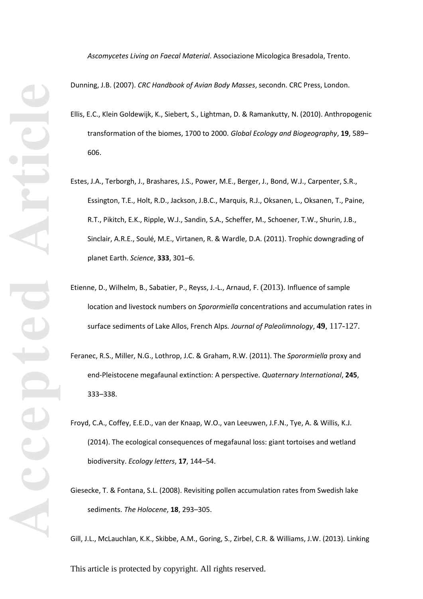*Ascomycetes Living on Faecal Material*. Associazione Micologica Bresadola, Trento.

Dunning, J.B. (2007). *CRC Handbook of Avian Body Masses*, secondn. CRC Press, London.

- Ellis, E.C., Klein Goldewijk, K., Siebert, S., Lightman, D. & Ramankutty, N. (2010). Anthropogenic transformation of the biomes, 1700 to 2000. *Global Ecology and Biogeography*, **19**, 589 – 606.
- Estes, J.A., Terborgh, J., Brashares, J.S., Power, M.E., Berger, J., Bond, W.J., Carpenter, S.R., Essington, T.E., Holt, R.D., Jackson, J.B.C., Marquis, R.J., Oksanen, L., Oksanen, T., Paine, R.T., Pikitch, E.K., Ripple, W.J., Sandin, S.A., Scheffer, M., Schoener, T.W., Shurin, J.B., Sinclair, A.R.E., Soulé, M.E., Virtanen, R. & Wardle, D.A. (2011). Trophic downgrading of planet Earth. *Science*, **333**, 301 –6.
- Etienne, D., Wilhelm, B., Sabatier, P., Reyss, J. -L., Arnaud, F. (2013) . Influence of sample location and livestock numbers on *Sporormiella* concentrations and accumulation rates in surface sediments of Lake Allos, French Alps*. Journal of Paleolimnology*, **49** , 117 -127 .
- Feranec, R.S., Miller, N.G., Lothrop, J.C. & Graham, R.W. (2011). The *Sporormiella* proxy and end -Pleistocene megafaunal extinction: A perspective. *Quaternary International*, **245**, 333 –338.
- Froyd, C.A., Coffey, E.E.D., van der Knaap, W.O., van Leeuwen, J.F.N., Tye, A. & Willis, K.J. (2014). The ecological consequences of megafaunal loss: giant tortoises and wetland biodiversity. *Ecology letters*, **17**, 144 –54.
- Giesecke, T. & Fontana, S.L. (2008). Revisiting pollen accumulation rates from Swedish lake sediments. *The Holocene*, **18**, 293 –305.

Gill, J.L., McLauchlan, K.K., Skibbe, A.M., Goring, S., Zirbel, C.R. & Williams, J.W. (2013). Linking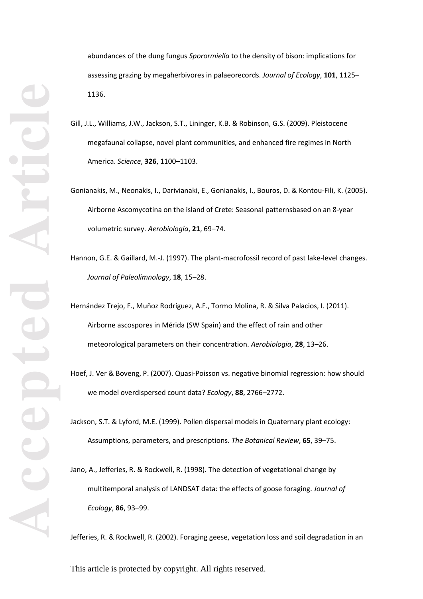abundances of the dung fungus *Sporormiella* to the density of bison: implications for assessing grazing by megaherbivores in palaeorecords. *Journal of Ecology*, **101**, 1125 – 1136.

- Gill, J.L., Williams, J.W., Jackson, S.T., Lininger, K.B. & Robinson, G.S. (2009). Pleistocene megafaunal collapse, novel plant communities, and enhanced fire regimes in North America. *Science*, **326**, 1100 –1103.
- Gonianakis, M., Neonakis, I., Darivianaki, E., Gonianakis, I., Bouros, D. & Kontou -Fili, K. (2005). Airborne Ascomycotina on the island of Crete: Seasonal patternsbased on an 8 -year volumetric survey. *Aerobiologia*, **21**, 69 –74.
- Hannon, G.E. & Gaillard, M.-J. (1997). The plant-macrofossil record of past lake-level changes. *Journal of Paleolimnology*, **18**, 15 –28.
- Hernández Trejo, F., Muñoz Rodríguez, A.F., Tormo Molina, R. & Silva Palacios, I. (2011). Airborne ascospores in Mérida (SW Spain) and the effect of rain and other meteorological parameters on their concentration. *Aerobiologia*, **28**, 13 –26.
- Hoef, J. Ver & Boveng, P. (2007). Quasi-Poisson vs. negative binomial regression: how should we model overdispersed count data? *Ecology*, **88**, 2766 –2772.
- Jackson, S.T. & Lyford, M.E. (1999). Pollen dispersal models in Quaternary plant ecology: Assumptions, parameters, and prescriptions. *The Botanical Review*, **65**, 39 –75.
- Jano, A., Jefferies, R. & Rockwell, R. (1998). The detection of vegetational change by multitemporal analysis of LANDSAT data: the effects of goose foraging. *Journal of Ecology*, **86**, 93 –99.

Jefferies, R. & Rockwell, R. (2002). Foraging geese, vegetation loss and soil degradation in an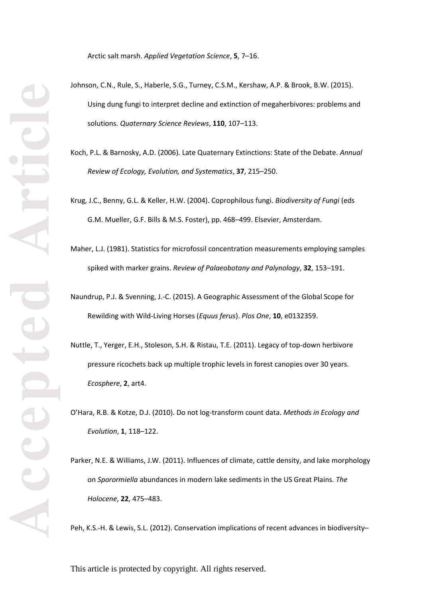Arctic salt marsh. *Applied Vegetation Science*, **5**, 7 –16.

- Johnson, C.N., Rule, S., Haberle, S.G., Turney, C.S.M., Kershaw, A.P. & Brook, B.W. (2015). Using dung fungi to interpret decline and extinction of megaherbivores: problems and solutions. *Quaternary Science Reviews*, **110**, 107 –113.
	- Koch, P.L. & Barnosky, A.D. (2006). Late Quaternary Extinctions: State of the Debate. *Annual Review of Ecology, Evolution, and Systematics*, **37**, 215 –250.
	- Krug, J.C., Benny, G.L. & Keller, H.W. (2004). Coprophilous fungi. *Biodiversity of Fungi* (eds G.M. Mueller, G.F. Bills & M.S. Foster), pp. 468 –499. Elsevier, Amsterdam.
	- Maher, L.J. (1981). Statistics for microfossil concentration measurements employing samples spiked with marker grains. *Review of Palaeobotany and Palynology*, **32**, 153 –191.
	- Naundrup, P.J. & Svenning, J. -C. (2015). A Geographic Assessment of the Global Scope for Rewilding with Wild -Living Horses (*Equus ferus*). *Plos One*, **10**, e0132359.
	- Nuttle, T., Yerger, E.H., Stoleson, S.H. & Ristau, T.E. (2011). Legacy of top -down herbivore pressure ricochets back up multiple trophic levels in forest canopies over 30 years. *Ecosphere*, **2**, art4.
	- O'Hara, R.B. & Kotze, D.J. (2010). Do not log -transform count data. *Methods in Ecology and Evolution*, **1**, 118 –122.
	- Parker, N.E. & Williams, J.W. (2011). Influences of climate, cattle density, and lake morphology on *Sporormiella* abundances in modern lake sediments in the US Great Plains. *The Holocene*, **22**, 475 –483.

Peh, K.S.-H. & Lewis, S.L. (2012). Conservation implications of recent advances in biodiversity-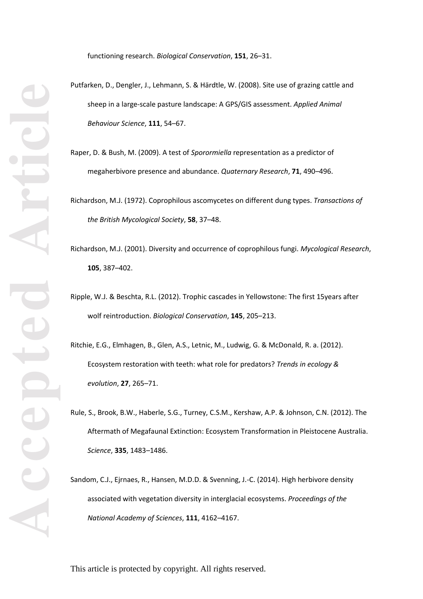functioning research. *Biological Conservation*, **151**, 26 –31.

- Putfarken, D., Dengler, J., Lehmann, S. & Härdtle, W. (2008). Site use of grazing cattle and sheep in a large -scale pasture landscape: A GPS/GIS assessment. *Applied Animal Behaviour Science*, **111**, 54 –67.
	- Raper, D. & Bush, M. (2009). A test of *Sporormiella* representation as a predictor of megaherbivore presence and abundance. *Quaternary Research*, **71**, 490 –496.
	- Richardson, M.J. (1972). Coprophilous ascomycetes on different dung types. *Transactions of the British Mycological Society*, **58**, 37 –48.
	- Richardson, M.J. (2001). Diversity and occurrence of coprophilous fungi. *Mycological Research*, **105**, 387 –402.
	- Ripple, W.J. & Beschta, R.L. (2012). Trophic cascades in Yellowstone: The first 15years after wolf reintroduction. *Biological Conservation*, **145**, 205 –213.
	- Ritchie, E.G., Elmhagen, B., Glen, A.S., Letnic, M., Ludwig, G. & McDonald, R. a. (2012). Ecosystem restoration with teeth: what role for predators? *Trends in ecology & evolution*, **27**, 265 –71.
	- Rule, S., Brook, B.W., Haberle, S.G., Turney, C.S.M., Kershaw, A.P. & Johnson, C.N. (2012). The Aftermath of Megafaunal Extinction: Ecosystem Transformation in Pleistocene Australia. *Science*, **335**, 1483 –1486.
	- Sandom, C.J., Ejrnaes, R., Hansen, M.D.D. & Svenning, J. -C. (2014). High herbivore density associated with vegetation diversity in interglacial ecosystems. *Proceedings of the National Academy of Sciences* , **111**, 4162 –4167.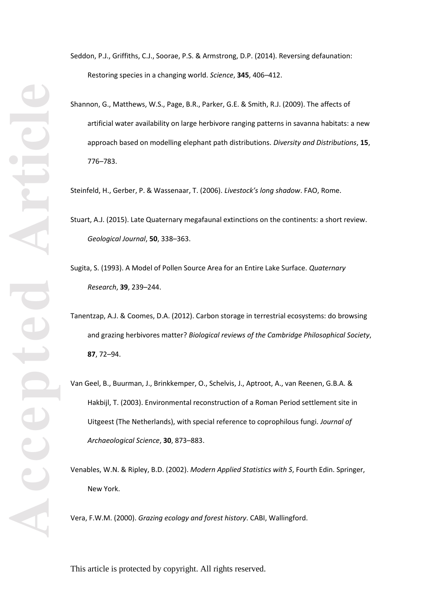Seddon, P.J., Griffiths, C.J., Soorae, P.S. & Armstrong, D.P. (2014). Reversing defaunation: Restoring species in a changing world. *Science*, **345**, 406 –412.

Shannon, G., Matthews, W.S., Page, B.R., Parker, G.E. & Smith, R.J. (2009). The affects of artificial water availability on large herbivore ranging patterns in savanna habitats: a new approach based on modelling elephant path distributions. *Diversity and Distributions*, **15**, 776 –783.

Steinfeld, H., Gerber, P. & Wassenaar, T. (2006). *Livestock's long shadow*. FAO, Rome.

Stuart, A.J. (2015). Late Quaternary megafaunal extinctions on the continents: a short review. *Geological Journal*, **50**, 338 –363.

- Sugita, S. (1993). A Model of Pollen Source Area for an Entire Lake Surface. *Quaternary Research*, **39**, 239 –244.
- Tanentzap, A.J. & Coomes, D.A. (2012). Carbon storage in terrestrial ecosystems: do browsing and grazing herbivores matter? *Biological reviews of the Cambridge Philosophical Society*, **87**, 72 –94.
- Van Geel, B., Buurman, J., Brinkkemper, O., Schelvis, J., Aptroot, A., van Reenen, G.B.A. & Hakbijl, T. (2003). Environmental reconstruction of a Roman Period settlement site in Uitgeest (The Netherlands), with special reference to coprophilous fungi. *Journal of Archaeological Science*, **30**, 873 –883.

Venables, W.N. & Ripley, B.D. (2002). *Modern Applied Statistics with S*, Fourth Edin. Springer, New York.

Vera, F.W.M. (2000). *Grazing ecology and forest history*. CABI, Wallingford.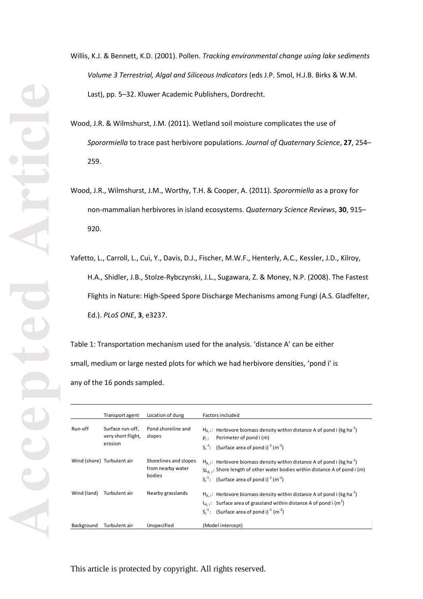Willis, K.J. & Bennett, K.D. (2001). Pollen. *Tracking environmental change using lake sediments Volume 3 Terrestrial, Algal and Siliceous Indicators* (eds J.P. Smol, H.J.B. Birks & W.M. Last), pp. 5 –32. Kluwer Academic Publishers, Dordrecht.

- Wood, J.R. & Wilmshurst, J.M. (2011). Wetland soil moisture complicates the use of *Sporormiella* to trace past herbivore populations. *Journal of Quaternary Science*, **27**, 254 – 259.
- Wood, J.R., Wilmshurst, J.M., Worthy, T.H. & Cooper, A. (2011). *Sporormiella* as a proxy for non -mammalian herbivores in island ecosystems. *Quaternary Science Reviews*, **30**, 915 – 920.
- Yafetto, L., Carroll, L., Cui, Y., Davis, D.J., Fischer, M.W.F., Henterly, A.C., Kessler, J.D., Kilroy, H. A., Shidler, J.B., Stolze -Rybczynski, J.L., Sugawara, Z. & Money, N.P. (2008). The Fastest Flights in Nature: High -Speed Spore Discharge Mechanisms among Fungi (A.S. Gladfelter, Ed.). *PLoS ONE*, **3**, e3237.

Table 1: Transportation mechanism used for the analysis. 'distance A' can be either small, medium or large nested plots for which we had herbivore densities, 'pond i' is any of the 16 ponds sampled.

|             | Transport agent                                   | Location of dung                                     | Factors included                                                                                                                                                                                                                                          |
|-------------|---------------------------------------------------|------------------------------------------------------|-----------------------------------------------------------------------------------------------------------------------------------------------------------------------------------------------------------------------------------------------------------|
| Run-off     | Surface run-off.<br>very short flight,<br>erosion | Pond shoreline and<br>slopes                         | $H_{\Delta}$ : Herbivore biomass density within distance A of pond i (kg ha <sup>-1</sup> )<br>Perimeter of pond i (m)<br>$P_{1}$ :<br>$S_i^{-1}$ : (Surface area of pond i) <sup>-1</sup> (m <sup>-2</sup> )                                             |
|             | Wind (shore) Turbulent air                        | Shorelines and slopes<br>from nearby water<br>bodies | $H_{A,i}$ : Herbivore biomass density within distance A of pond i (kg ha <sup>-1</sup> )<br>$SL_{A,i}$ : Shore length of other water bodies within distance A of pond i (m)<br>$S_i^{-1}$ : (Surface area of pond i) <sup>-1</sup> (m <sup>-2</sup> )     |
| Wind (land) | Turbulent air                                     | Nearby grasslands                                    | $H_{A,i}$ : Herbivore biomass density within distance A of pond i (kg ha <sup>-1</sup> )<br>$L_{A,i}$ : Surface area of grassland within distance A of pond i (m <sup>2</sup> )<br>$S_i^{-1}$ : (Surface area of pond i) <sup>-1</sup> (m <sup>-2</sup> ) |
| Background  | Turbulent air                                     | Unspecified                                          | (Model intercept)                                                                                                                                                                                                                                         |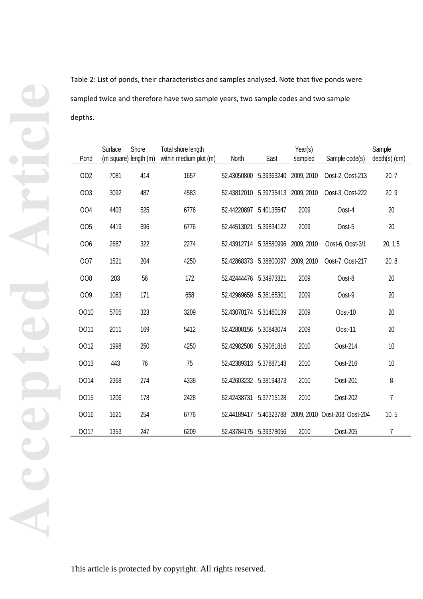Table 2: List of ponds, their characteristics and samples analysed. Note that five ponds were sampled twice and therefore have two sample years, two sample codes and two sample depths.

| Pond | Surface | Shore<br>(m square) length (m) | Total shore length<br>within medium plot (m) | North                  | East       | Year(s)<br>sampled | Sample code(s)                | Sample<br>$depth(s)$ (cm) |
|------|---------|--------------------------------|----------------------------------------------|------------------------|------------|--------------------|-------------------------------|---------------------------|
|      |         |                                |                                              |                        |            |                    |                               |                           |
| 002  | 7081    | 414                            | 1657                                         | 52.43050800            | 5.39363240 | 2009, 2010         | Oost-2, Oost-213              | 20, 7                     |
| 003  | 3092    | 487                            | 4583                                         | 52.43812010            | 5.39735413 | 2009, 2010         | Oost-3, Oost-222              | 20, 9                     |
| 004  | 4403    | 525                            | 6776                                         | 52.44220897            | 5.40135547 | 2009               | Oost-4                        | 20                        |
| 005  | 4419    | 696                            | 6776                                         | 52.44513021            | 5.39834122 | 2009               | Oost-5                        | 20                        |
| 006  | 2687    | 322                            | 2274                                         | 52.43912714 5.38580996 |            | 2009, 2010         | Oost-6, Oost-3/1              | 20, 1.5                   |
| 007  | 1521    | 204                            | 4250                                         | 52.42868373            | 5.38800097 | 2009, 2010         | Oost-7, Oost-217              | 20, 8                     |
| 008  | 203     | 56                             | 172                                          | 52.42444476            | 5.34973321 | 2009               | Oost-8                        | 20                        |
| 009  | 1063    | 171                            | 658                                          | 52.42969659            | 5.36165301 | 2009               | Oost-9                        | 20                        |
| 0010 | 5705    | 323                            | 3209                                         | 52.43070174 5.31460139 |            | 2009               | Oost-10                       | 20                        |
| 0011 | 2011    | 169                            | 5412                                         | 52.42800156 5.30843074 |            | 2009               | Oost-11                       | 20                        |
| 0012 | 1998    | 250                            | 4250                                         | 52.42982508            | 5.39061816 | 2010               | Oost-214                      | 10                        |
| 0013 | 443     | 76                             | 75                                           | 52.42389313            | 5.37887143 | 2010               | Oost-216                      | 10                        |
| 0014 | 2368    | 274                            | 4338                                         | 52.42603232 5.38194373 |            | 2010               | Oost-201                      | 8                         |
| 0015 | 1206    | 178                            | 2428                                         | 52.42438731            | 5.37715128 | 2010               | Oost-202                      | $\overline{7}$            |
| 0016 | 1621    | 254                            | 6776                                         | 52.44189417            | 5.40323788 |                    | 2009, 2010 Oost-203, Oost-204 | 10, 5                     |
| 0017 | 1353    | 247                            | 6209                                         | 52.43784175            | 5.39378056 | 2010               | Oost-205                      | 7                         |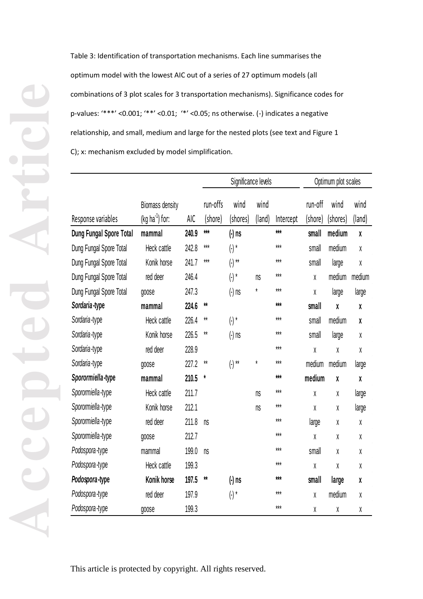Table 3: Identification of transportation mechanisms. Each line summarises the optimum model with the lowest AIC out of a series of 27 optimum models (all combinations of 3 plot scales for 3 transportation mechanisms). Significance codes for p-values: '\*\*\*' <0.001; '\*\*' <0.01; '\*' <0.05; ns otherwise. (-) indicates a negative relationship, and small, medium and large for the nested plots (see text and Figure 1 C); x: mechanism excluded by model simplification.

|                         |                                     |            | Significance levels |                  |                | Optimum plot scales |                    |                  |                |
|-------------------------|-------------------------------------|------------|---------------------|------------------|----------------|---------------------|--------------------|------------------|----------------|
| Response variables      | Biomass density<br>$(kg ha-1)$ for: | <b>AIC</b> | run-offs<br>(shore) | wind<br>(shores) | wind<br>(land) | Intercept           | run-off<br>(shore) | wind<br>(shores) | wind<br>(land) |
| Dung Fungal Spore Total | mammal                              | 240.9      | $***$               | $(-)$ ns         |                | $***$               | small              | medium           | χ              |
| Dung Fungal Spore Total | Heck cattle                         | 242.8      | $***$               | $(\hbox{-})$ *   |                | $***$               | small              | medium           | X              |
| Dung Fungal Spore Total | Konik horse                         | 241.7      | $***$               | $( - )$ **       |                | $***$               | small              | large            | χ              |
| Dung Fungal Spore Total | red deer                            | 246.4      |                     | $(\cdot)^*$      | ns             | $***$               | χ                  | medium           | medium         |
| Dung Fungal Spore Total | goose                               | 247.3      |                     | $(-)$ ns         | ¥              | $***$               | χ                  | large            | large          |
| Sordaria-type           | mammal                              | 224.6      | $**$                |                  |                | ***                 | small              | X                | X              |
| Sordaria-type           | Heck cattle                         | 226.4      | $**$                | $(\cdot)^*$      |                | $***$               | small              | medium           | χ              |
| Sordaria-type           | Konik horse                         | 226.5      | $**$                | $(-)$ ns         |                | $***$               | small              | large            | χ              |
| Sordaria-type           | red deer                            | 228.9      |                     |                  |                | $***$               | χ                  | χ                | χ              |
| Sordaria-type           | goose                               | 227.2      | $**$                | $( - )$ **       | $\star$        | $***$               | medium             | medium           | large          |
| Sporormiella-type       | mammal                              | 210.5      | $^\star$            |                  |                | $***$               | medium             | X                | X              |
| Sporormiella-type       | Heck cattle                         | 211.7      |                     |                  | n s            | $***$               | χ                  | χ                | large          |
| Sporormiella-type       | Konik horse                         | 212.1      |                     |                  | ns             | $***$               | χ                  | χ                | large          |
| Sporormiella-type       | red deer                            | 211.8      | n s                 |                  |                | $***$               | large              | χ                | χ              |
| Sporormiella-type       | goose                               | 212.7      |                     |                  |                | $***$               | X                  | χ                | χ              |
| Podospora-type          | mammal                              | 199.0      | ns                  |                  |                | $***$               | small              | χ                | χ              |
| Podospora-type          | Heck cattle                         | 199.3      |                     |                  |                | $***$               | X                  | χ                | χ              |
| Podospora-type          | Konik horse                         | 197.5      | **                  | $(-)$ ns         |                | $***$               | small              | large            | χ              |
| Podospora-type          | red deer                            | 197.9      |                     | $(\cdot)^*$      |                | $***$               | χ                  | medium           | χ              |
| Podospora-type          | goose                               | 199.3      |                     |                  |                | $***$               | χ                  | χ                | χ              |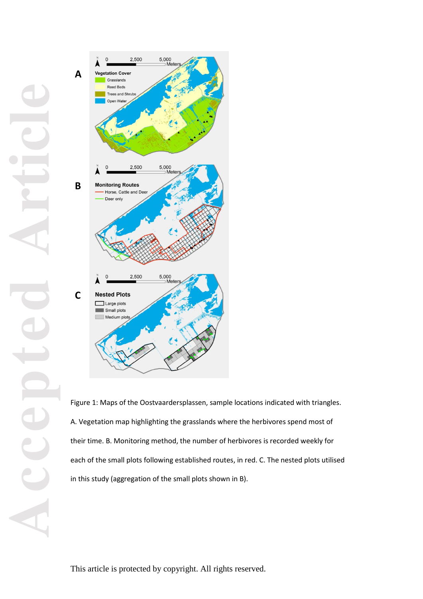

Figure 1: Maps of the Oostvaardersplassen, sample locations indicated with triangles. A. Vegetation map highlighting the grasslands where the herbivores spend most of their time. B. Monitoring method, the number of herbivores is recorded weekly for each of the small plots following established routes, in red. C. The nested plots utilised in this study (aggregation of the small plots shown in B).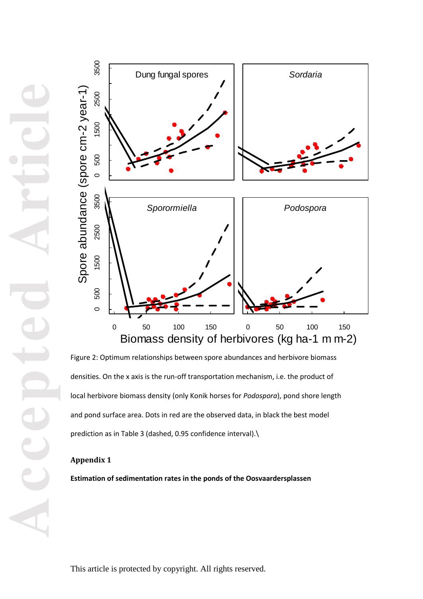

Figure 2: Optimum relationships between spore abundances and herbivore biomass densities. On the x axis is the run-off transportation mechanism, i.e. the product of local herbivore biomass density (only Konik horses for *Podospora*), pond shore length and pond surface area. Dots in red are the observed data, in black the best model prediction as in Table 3 (dashed, 0.95 confidence interval).\

# **Appendix 1**

**Estimation of sedimentation rates in the ponds of the Oosvaardersplassen**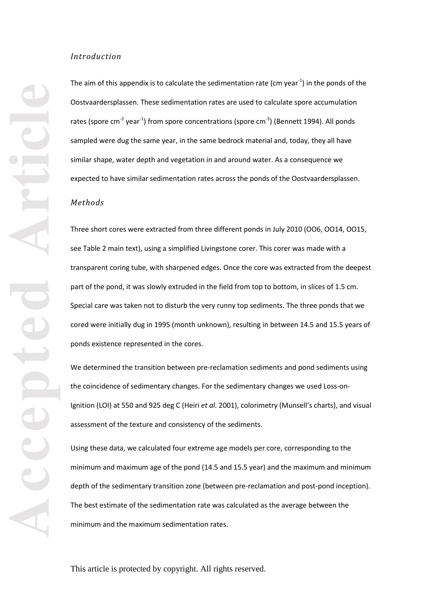### *Introduction*

The aim of this appendix is to calculate the sedimentation rate (cm year<sup>-1</sup>) in the ponds of the Oostvaardersplassen. These sedimentation rates are used to calculate spore accumulation rates (spore cm<sup>-2</sup> year<sup>-1</sup>) from spore concentrations (spore cm<sup>-3</sup>) (Bennett 1994). All ponds sampled were dug the same year, in the same bedrock material and, today, they all have similar shape, water depth and vegetation in and around water. As a consequence we expected to have similar sedimentation rates across the ponds of the Oostvaardersplassen.

### *Methods*

Three short cores were extracted from three different ponds in July 2010 (OO6, OO14, OO15, see Table 2 main text), using a simplified Livingstone corer. This corer was made with a transparent coring tube, with sharpened edges. Once the core was extracted from the deepest part of the pond, it was slowly extruded in the field from top to bottom, in slices of 1.5 cm. Special care was taken not to disturb the very runny top sediments. The three ponds that we cored were initially dug in 1995 (month unknown), resulting in between 14.5 and 15.5 years of ponds existence represented in the cores.

We determined the transition between pre-reclamation sediments and pond sediments using the coincidence of sedimentary changes. For the sedimentary changes we used Loss -on - Ignition (LOI) at 550 and 925 deg C (Heiri *et al.* 2001), colorimetry (Munsell's charts), and visual assessment of the texture and consistency of the sediments.

Using these data, we calculated four extreme age models per core, corresponding to the minimum and maximum age of the pond (14.5 and 15.5 year) and the maximum and minimum depth of the sedimentary transition zone (between pre -reclamation and post -pond inception). The best estimate of the sedimentation rate was calculated as the average between the minimum and the maximum sedimentation rates.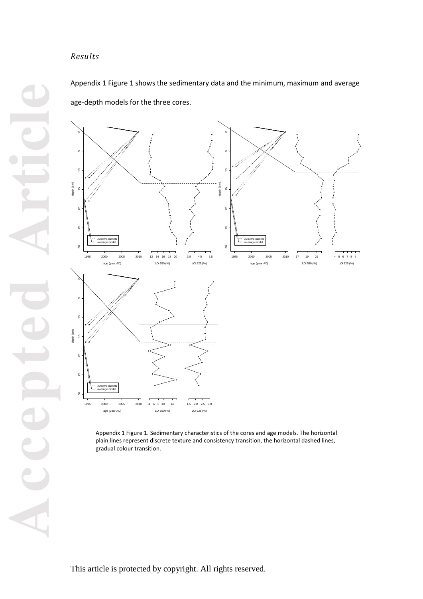# *Results*

Appendix 1 Figure 1 shows the sedimentary data and the minimum, maximum and average age -depth models for the three cores.



Appendix 1 Figure 1. Sedimentary characteristics of the cores and age models. The horizontal plain lines represent discrete texture and consistency transition, the horizontal dashed lines, gradual colour transition.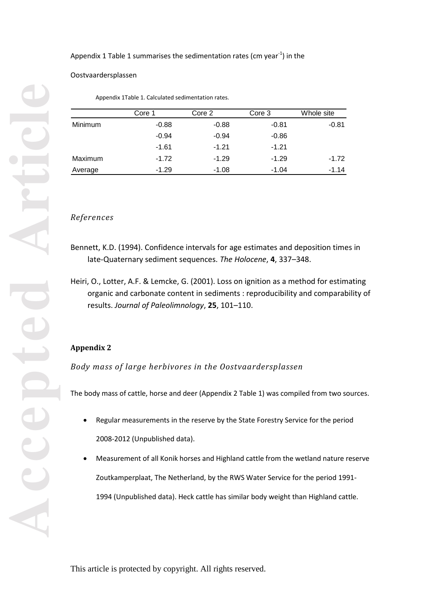Appendix 1 Table 1 summarises the sedimentation rates (cm year $^{-1}$ ) in the

Oostvaardersplassen

Appendix 1Table 1. Calculated sedimentation rates.

|         | Core 1  | Core 2  | Core 3  | Whole site |
|---------|---------|---------|---------|------------|
| Minimum | $-0.88$ | $-0.88$ | $-0.81$ | $-0.81$    |
|         | $-0.94$ | $-0.94$ | $-0.86$ |            |
|         | $-1.61$ | $-1.21$ | $-1.21$ |            |
| Maximum | $-1.72$ | $-1.29$ | $-1.29$ | $-1.72$    |
| Average | $-1.29$ | $-1.08$ | $-1.04$ | -1.14      |

### *References*

- Bennett, K.D. (1994). Confidence intervals for age estimates and deposition times in late -Quaternary sediment sequences. *The Holocene*, **4**, 337 –348.
- Heiri, O., Lotter, A.F. & Lemcke, G. (2001). Loss on ignition as a method for estimating organic and carbonate content in sediments : reproducibility and comparability of results. *Journal of Paleolimnology*, **25**, 101 –110.

# **Appendix 2**

*Body mass of large herbivores in the Oostvaardersplassen*

The body mass of cattle, horse and deer (Appendix 2 Table 1) was compiled from two sources.

- Regular measurements in the reserve by the State Forestry Service for the period 2008 -2012 (Unpublished data).
- Measurement of all Konik horses and Highland cattle from the wetland nature reserve Zoutkamperplaat, The Netherland, by the RWS Water Service for the period 1991 - 1994 (Unpublished data). Heck cattle has similar body weight than Highland cattle.